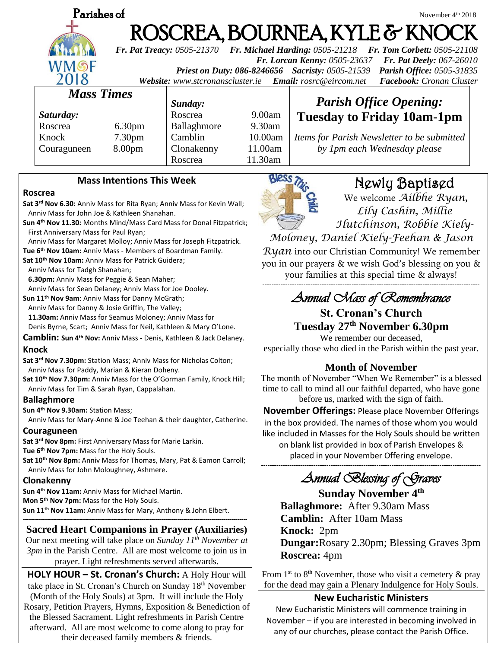|                                                                                                                                               | Parishes of                       |                    |                                                                                                                                                                                                                                             |           |                                                                             | November 4 <sup>th</sup> 2018                  |  |
|-----------------------------------------------------------------------------------------------------------------------------------------------|-----------------------------------|--------------------|---------------------------------------------------------------------------------------------------------------------------------------------------------------------------------------------------------------------------------------------|-----------|-----------------------------------------------------------------------------|------------------------------------------------|--|
|                                                                                                                                               |                                   |                    | ROSCREA, BOURNEA, KYLE & KNOCK                                                                                                                                                                                                              |           |                                                                             |                                                |  |
|                                                                                                                                               | WMSF<br>2018<br><b>Mass Times</b> |                    | <b>Fr. Pat Treacy: 0505-21370</b><br><b>Fr. Michael Harding: 0505-21218</b><br><b>Fr. Tom Corbett: 0505-21108</b>                                                                                                                           |           |                                                                             |                                                |  |
|                                                                                                                                               |                                   |                    | Fr. Lorcan Kenny: 0505-23637<br>Fr. Pat Deely: 067-26010<br>Parish Office: 0505-31835<br><b>Priest on Duty: 086-8246656</b> Sacristy: 0505-21539<br>Facebook: Cronan Cluster<br>Website: www.stcronanscluster.ie<br>Email: rosrc@eircom.net |           |                                                                             |                                                |  |
|                                                                                                                                               |                                   |                    | Sunday:                                                                                                                                                                                                                                     |           |                                                                             | <b>Parish Office Opening:</b>                  |  |
|                                                                                                                                               | Saturday:                         |                    | Roscrea                                                                                                                                                                                                                                     | 9.00am    |                                                                             | <b>Tuesday to Friday 10am-1pm</b>              |  |
|                                                                                                                                               | Roscrea                           | 6.30 <sub>pm</sub> | Ballaghmore                                                                                                                                                                                                                                 | $9.30$ am |                                                                             |                                                |  |
|                                                                                                                                               | Knock                             | 7.30 <sub>pm</sub> | Camblin                                                                                                                                                                                                                                     | 10.00am   | Items for Parish Newsletter to be submitted<br>by 1pm each Wednesday please |                                                |  |
|                                                                                                                                               | Couraguneen                       | 8.00 <sub>pm</sub> | Clonakenny                                                                                                                                                                                                                                  | 11.00am   |                                                                             |                                                |  |
|                                                                                                                                               |                                   |                    | Roscrea                                                                                                                                                                                                                                     | 11.30am   |                                                                             |                                                |  |
| <b>Mass Intentions This Week</b>                                                                                                              |                                   |                    |                                                                                                                                                                                                                                             |           |                                                                             | Newly Baptised                                 |  |
| Roscrea<br>Sat 3 <sup>rd</sup> Nov 6.30: Anniv Mass for Rita Ryan; Anniv Mass for Kevin Wall;<br>Anniv Mass for John Joe & Kathleen Shanahan. |                                   |                    |                                                                                                                                                                                                                                             |           |                                                                             | We welcome Ailbhe Ryan,<br>Lily Cashin, Millie |  |

**Sun 4th Nov 11.30:** Months Mind/Mass Card Mass for Donal Fitzpatrick; First Anniversary Mass for Paul Ryan;

 Anniv Mass for Margaret Molloy; Anniv Mass for Joseph Fitzpatrick. **Tue 6th Nov 10am:** Anniv Mass - Members of Boardman Family.

**Sat 10th Nov 10am:** Anniv Mass for Patrick Guidera;

Anniv Mass for Tadgh Shanahan;

**6.30pm:** Anniv Mass for Peggie & Sean Maher;

Anniv Mass for Sean Delaney; Anniv Mass for Joe Dooley.

**Sun 11th Nov 9am**: Anniv Mass for Danny McGrath;

Anniv Mass for Danny & Josie Griffin, The Valley;

 **11.30am:** Anniv Mass for Seamus Moloney; Anniv Mass for Denis Byrne, Scart; Anniv Mass for Neil, Kathleen & Mary O'Lone.

**Camblin: Sun 4 th Nov:** Anniv Mass - Denis, Kathleen & Jack Delaney. **Knock**

**Sat 3rd Nov 7.30pm:** Station Mass; Anniv Mass for Nicholas Colton; Anniv Mass for Paddy, Marian & Kieran Doheny.

**Sat 10th Nov 7.30pm:** Anniv Mass for the O'Gorman Family, Knock Hill; Anniv Mass for Tim & Sarah Ryan, Cappalahan.

### **Ballaghmore**

**Sun 4th Nov 9.30am:** Station Mass;

Anniv Mass for Mary-Anne & Joe Teehan & their daughter, Catherine.

### **Couraguneen**

**Sat 3rd Nov 8pm:** First Anniversary Mass for Marie Larkin. **Tue 6th Nov 7pm:** Mass for the Holy Souls. **Sat 10th Nov 8pm:** Anniv Mass for Thomas, Mary, Pat & Eamon Carroll; Anniv Mass for John Moloughney, Ashmere.

### **Clonakenny**

**Sun 4th Nov 11am:** Anniv Mass for Michael Martin.

**Mon 5th Nov 7pm:** Mass for the Holy Souls.

**Sun 11th Nov 11am:** Anniv Mass for Mary, Anthony & John Elbert. **----------------------------------------------------------------------------------------------------------------**

# **Sacred Heart Companions in Prayer (Auxiliaries)**

Our next meeting will take place on *Sunday 11th November at 3pm* in the Parish Centre. All are most welcome to join us in prayer. Light refreshments served afterwards.

**HOLY HOUR – St. Cronan's Church:** A Holy Hour will take place in St. Cronan's Church on Sunday 18th November (Month of the Holy Souls) at 3pm. It will include the Holy Rosary, Petition Prayers, Hymns, Exposition & Benediction of the Blessed Sacrament. Light refreshments in Parish Centre afterward. All are most welcome to come along to pray for their deceased family members & friends.



*Lily Cashin, Millie Hutchinson, Robbie Kiely-*

*Moloney, Daniel Kiely-Feehan & Jason* 

*Ryan* into our Christian Community! We remember you in our prayers & we wish God's blessing on you & your families at this special time & always!

# ----------------------------------------------------------------------------------------------- *Annual Mass of Remembrance*

# **St. Cronan's Church Tuesday 27 th November 6.30pm**

We remember our deceased, especially those who died in the Parish within the past year.

# **Month of November**

The month of November "When We Remember" is a blessed time to call to mind all our faithful departed, who have gone before us, marked with the sign of faith.

**November Offerings:** Please place November Offerings in the box provided. The names of those whom you would like included in Masses for the Holy Souls should be written

on blank list provided in box of Parish Envelopes & placed in your November Offering envelope.

# **-----------------------------------------------------------------------------------------------------** *Annual Blessing of Graves*

**Sunday November 4 th Ballaghmore:** After 9.30am Mass  **Camblin:** After 10am Mass  **Knock:** 2pm  **Dungar:**Rosary 2.30pm; Blessing Graves 3pm  **Roscrea:** 4pm

From  $1^{st}$  to  $8^{th}$  November, those who visit a cemetery  $\&$  pray for the dead may gain a Plenary Indulgence for Holy Souls.

# **New Eucharistic Ministers**

New Eucharistic Ministers will commence training in November – if you are interested in becoming involved in any of our churches, please contact the Parish Office.